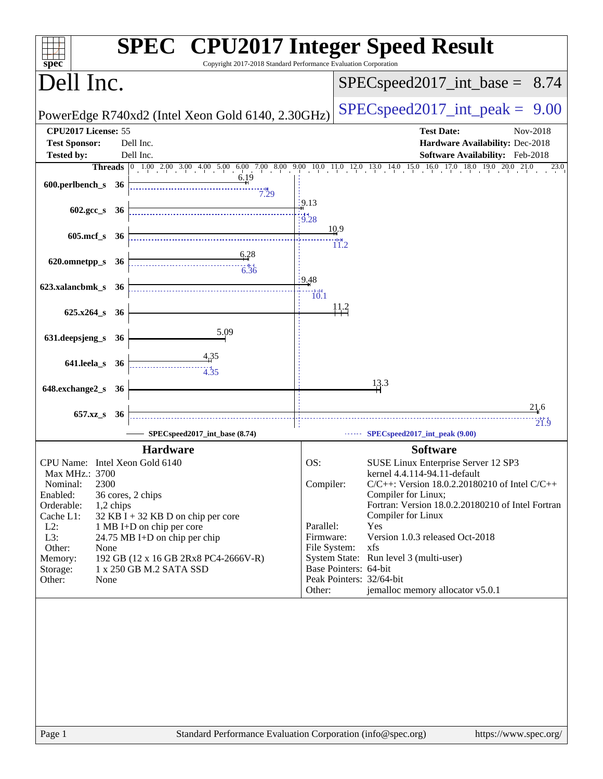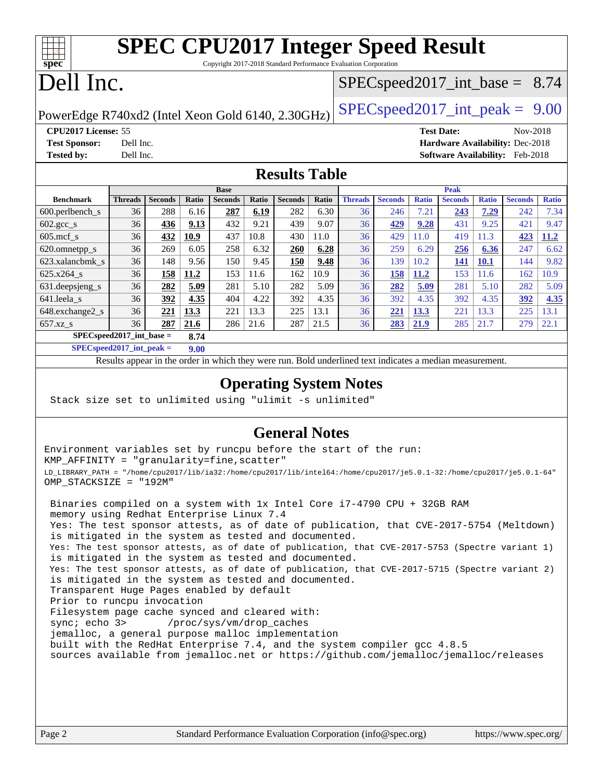# **[SPEC CPU2017 Integer Speed Result](http://www.spec.org/auto/cpu2017/Docs/result-fields.html#SPECCPU2017IntegerSpeedResult)**

Copyright 2017-2018 Standard Performance Evaluation Corporation

# Dell Inc.

**[spec](http://www.spec.org/)**

### $SPECspeed2017\_int\_base = 8.74$

PowerEdge R740xd2 (Intel Xeon Gold 6140, 2.30GHz)  $\left|$  [SPECspeed2017\\_int\\_peak =](http://www.spec.org/auto/cpu2017/Docs/result-fields.html#SPECspeed2017intpeak) 9.00

**[CPU2017 License:](http://www.spec.org/auto/cpu2017/Docs/result-fields.html#CPU2017License)** 55 **[Test Date:](http://www.spec.org/auto/cpu2017/Docs/result-fields.html#TestDate)** Nov-2018 **[Test Sponsor:](http://www.spec.org/auto/cpu2017/Docs/result-fields.html#TestSponsor)** Dell Inc. **[Hardware Availability:](http://www.spec.org/auto/cpu2017/Docs/result-fields.html#HardwareAvailability)** Dec-2018 **[Tested by:](http://www.spec.org/auto/cpu2017/Docs/result-fields.html#Testedby)** Dell Inc. **[Software Availability:](http://www.spec.org/auto/cpu2017/Docs/result-fields.html#SoftwareAvailability)** Feb-2018

### **[Results Table](http://www.spec.org/auto/cpu2017/Docs/result-fields.html#ResultsTable)**

|                                      | <b>Base</b>    |                |       |                |       |                | <b>Peak</b> |                |                |              |                |              |                |              |
|--------------------------------------|----------------|----------------|-------|----------------|-------|----------------|-------------|----------------|----------------|--------------|----------------|--------------|----------------|--------------|
| <b>Benchmark</b>                     | <b>Threads</b> | <b>Seconds</b> | Ratio | <b>Seconds</b> | Ratio | <b>Seconds</b> | Ratio       | <b>Threads</b> | <b>Seconds</b> | <b>Ratio</b> | <b>Seconds</b> | <b>Ratio</b> | <b>Seconds</b> | <b>Ratio</b> |
| $600.$ perlbench $\mathsf{S}$        | 36             | 288            | 6.16  | 287            | 6.19  | 282            | 6.30        | 36             | 246            | 7.21         | 243            | 7.29         | 242            | 7.34         |
| $602.\text{gcc}\_\text{s}$           | 36             | 436            | 9.13  | 432            | 9.21  | 439            | 9.07        | 36             | 429            | 9.28         | 431            | 9.25         | 421            | 9.47         |
| $605$ .mcf s                         | 36             | 432            | 10.9  | 437            | 10.8  | 430            | 11.0        | 36             | 429            | 11.0         | 419            | 11.3         | 423            | <u>11.2</u>  |
| 620.omnetpp_s                        | 36             | 269            | 6.05  | 258            | 6.32  | 260            | 6.28        | 36             | 259            | 6.29         | 256            | 6.36         | 247            | 6.62         |
| 623.xalancbmk s                      | 36             | 148            | 9.56  | 150            | 9.45  | 150            | 9.48        | 36             | 139            | 10.2         | 141            | <b>10.1</b>  | 144            | 9.82         |
| 625.x264 s                           | 36             | 158            | 11.2  | 153            | 11.6  | 162            | 10.9        | 36             | 158            | 11.2         | 153            | 11.6         | 162            | 10.9         |
| 631.deepsjeng_s                      | 36             | 282            | 5.09  | 281            | 5.10  | 282            | 5.09        | 36             | 282            | 5.09         | 281            | 5.10         | 282            | 5.09         |
| 641.leela s                          | 36             | 392            | 4.35  | 404            | 4.22  | 392            | 4.35        | 36             | 392            | 4.35         | 392            | 4.35         | 392            | 4.35         |
| 648.exchange2 s                      | 36             | 221            | 13.3  | 221            | 13.3  | 225            | 13.1        | 36             | 221            | 13.3         | 221            | 13.3         | 225            | 13.1         |
| $657.xz$ <sub>S</sub>                | 36             | 287            | 21.6  | 286            | 21.6  | 287            | 21.5        | 36             | 283            | 21.9         | 285            | 21.7         | 279            | 22.1         |
| $SPECspeed2017\_int\_base =$<br>8.74 |                |                |       |                |       |                |             |                |                |              |                |              |                |              |

**[SPECspeed2017\\_int\\_peak =](http://www.spec.org/auto/cpu2017/Docs/result-fields.html#SPECspeed2017intpeak) 9.00**

Results appear in the [order in which they were run.](http://www.spec.org/auto/cpu2017/Docs/result-fields.html#RunOrder) Bold underlined text [indicates a median measurement](http://www.spec.org/auto/cpu2017/Docs/result-fields.html#Median).

### **[Operating System Notes](http://www.spec.org/auto/cpu2017/Docs/result-fields.html#OperatingSystemNotes)**

Stack size set to unlimited using "ulimit -s unlimited"

### **[General Notes](http://www.spec.org/auto/cpu2017/Docs/result-fields.html#GeneralNotes)**

Environment variables set by runcpu before the start of the run: KMP\_AFFINITY = "granularity=fine,scatter" LD\_LIBRARY\_PATH = "/home/cpu2017/lib/ia32:/home/cpu2017/lib/intel64:/home/cpu2017/je5.0.1-32:/home/cpu2017/je5.0.1-64" OMP\_STACKSIZE = "192M"

 Binaries compiled on a system with 1x Intel Core i7-4790 CPU + 32GB RAM memory using Redhat Enterprise Linux 7.4 Yes: The test sponsor attests, as of date of publication, that CVE-2017-5754 (Meltdown) is mitigated in the system as tested and documented. Yes: The test sponsor attests, as of date of publication, that CVE-2017-5753 (Spectre variant 1) is mitigated in the system as tested and documented. Yes: The test sponsor attests, as of date of publication, that CVE-2017-5715 (Spectre variant 2) is mitigated in the system as tested and documented. Transparent Huge Pages enabled by default Prior to runcpu invocation Filesystem page cache synced and cleared with: sync; echo 3> /proc/sys/vm/drop\_caches jemalloc, a general purpose malloc implementation built with the RedHat Enterprise 7.4, and the system compiler gcc 4.8.5 sources available from jemalloc.net or <https://github.com/jemalloc/jemalloc/releases>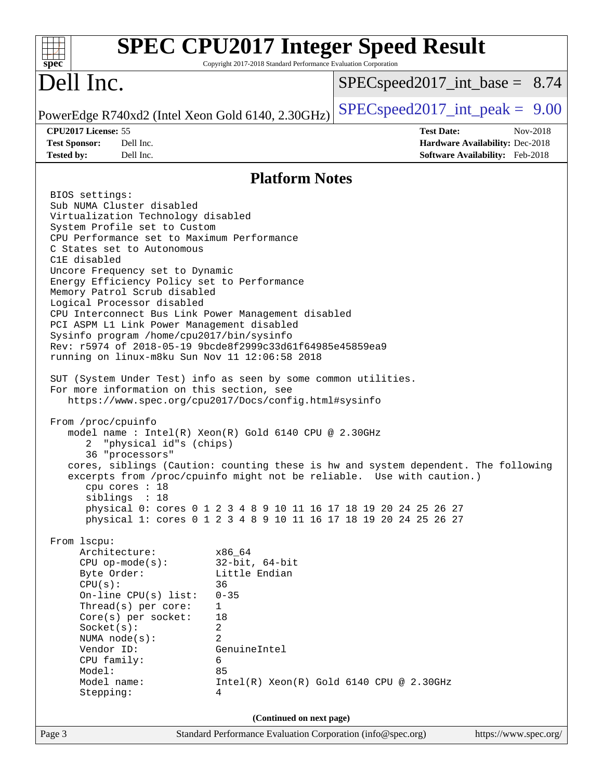| Copyright 2017-2018 Standard Performance Evaluation Corporation<br>$spec^*$                                                                                                                                                                                                                                                                                                                                                                                                                                                                                                                                                                                                                                                                                                                                                                                                                                                                                                                                                                                                                                                                                                                                                                                                                                                                                                                                                                                                                                                                                                                                                                                                       | <b>SPEC CPU2017 Integer Speed Result</b>                                                            |  |  |  |  |  |
|-----------------------------------------------------------------------------------------------------------------------------------------------------------------------------------------------------------------------------------------------------------------------------------------------------------------------------------------------------------------------------------------------------------------------------------------------------------------------------------------------------------------------------------------------------------------------------------------------------------------------------------------------------------------------------------------------------------------------------------------------------------------------------------------------------------------------------------------------------------------------------------------------------------------------------------------------------------------------------------------------------------------------------------------------------------------------------------------------------------------------------------------------------------------------------------------------------------------------------------------------------------------------------------------------------------------------------------------------------------------------------------------------------------------------------------------------------------------------------------------------------------------------------------------------------------------------------------------------------------------------------------------------------------------------------------|-----------------------------------------------------------------------------------------------------|--|--|--|--|--|
| Dell Inc.                                                                                                                                                                                                                                                                                                                                                                                                                                                                                                                                                                                                                                                                                                                                                                                                                                                                                                                                                                                                                                                                                                                                                                                                                                                                                                                                                                                                                                                                                                                                                                                                                                                                         | $SPEC speed2017\_int\_base = 8.74$                                                                  |  |  |  |  |  |
| PowerEdge R740xd2 (Intel Xeon Gold 6140, 2.30GHz)                                                                                                                                                                                                                                                                                                                                                                                                                                                                                                                                                                                                                                                                                                                                                                                                                                                                                                                                                                                                                                                                                                                                                                                                                                                                                                                                                                                                                                                                                                                                                                                                                                 | $SPEC speed2017\_int\_peak = 9.00$                                                                  |  |  |  |  |  |
| CPU2017 License: 55<br><b>Test Sponsor:</b><br>Dell Inc.<br><b>Tested by:</b><br>Dell Inc.                                                                                                                                                                                                                                                                                                                                                                                                                                                                                                                                                                                                                                                                                                                                                                                                                                                                                                                                                                                                                                                                                                                                                                                                                                                                                                                                                                                                                                                                                                                                                                                        | <b>Test Date:</b><br>Nov-2018<br>Hardware Availability: Dec-2018<br>Software Availability: Feb-2018 |  |  |  |  |  |
| <b>Platform Notes</b>                                                                                                                                                                                                                                                                                                                                                                                                                                                                                                                                                                                                                                                                                                                                                                                                                                                                                                                                                                                                                                                                                                                                                                                                                                                                                                                                                                                                                                                                                                                                                                                                                                                             |                                                                                                     |  |  |  |  |  |
| BIOS settings:<br>Sub NUMA Cluster disabled<br>Virtualization Technology disabled<br>System Profile set to Custom<br>CPU Performance set to Maximum Performance<br>C States set to Autonomous<br>C1E disabled<br>Uncore Frequency set to Dynamic<br>Energy Efficiency Policy set to Performance<br>Memory Patrol Scrub disabled<br>Logical Processor disabled<br>CPU Interconnect Bus Link Power Management disabled<br>PCI ASPM L1 Link Power Management disabled<br>Sysinfo program /home/cpu2017/bin/sysinfo<br>Rev: r5974 of 2018-05-19 9bcde8f2999c33d61f64985e45859ea9<br>running on linux-m8ku Sun Nov 11 12:06:58 2018<br>SUT (System Under Test) info as seen by some common utilities.<br>For more information on this section, see<br>https://www.spec.org/cpu2017/Docs/config.html#sysinfo<br>From /proc/cpuinfo<br>model name : Intel(R) Xeon(R) Gold 6140 CPU @ 2.30GHz<br>"physical id"s (chips)<br>2<br>36 "processors"<br>cores, siblings (Caution: counting these is hw and system dependent. The following<br>excerpts from /proc/cpuinfo might not be reliable. Use with caution.)<br>cpu cores : 18<br>siblings : 18<br>physical 0: cores 0 1 2 3 4 8 9 10 11 16 17 18 19 20 24 25 26 27<br>physical 1: cores 0 1 2 3 4 8 9 10 11 16 17 18 19 20 24 25 26 27<br>From 1scpu:<br>Architecture:<br>x86_64<br>$32$ -bit, $64$ -bit<br>$CPU$ op-mode( $s$ ):<br>Little Endian<br>Byte Order:<br>CPU(s):<br>36<br>On-line CPU(s) list:<br>$0 - 35$<br>Thread(s) per core:<br>$\mathbf{1}$<br>Core(s) per socket:<br>18<br>Socket(s):<br>2<br>NUMA node(s):<br>2<br>Vendor ID:<br>GenuineIntel<br>CPU family:<br>6<br>Model:<br>85<br>Model name:<br>Stepping:<br>4 | $Intel(R)$ Xeon $(R)$ Gold 6140 CPU @ 2.30GHz                                                       |  |  |  |  |  |
| (Continued on next page)<br>Standard Performance Evaluation Corporation (info@spec.org)<br>Page 3                                                                                                                                                                                                                                                                                                                                                                                                                                                                                                                                                                                                                                                                                                                                                                                                                                                                                                                                                                                                                                                                                                                                                                                                                                                                                                                                                                                                                                                                                                                                                                                 | https://www.spec.org/                                                                               |  |  |  |  |  |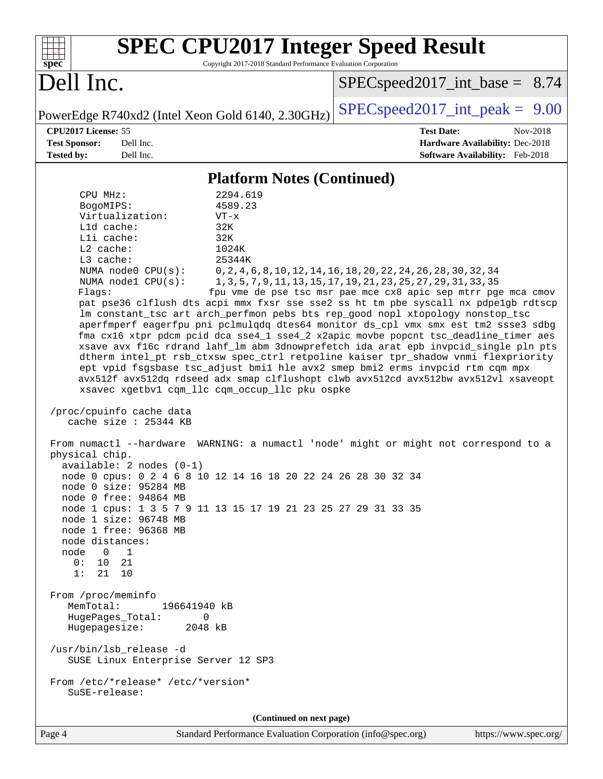| <b>SPEC CPU2017 Integer Speed Result</b><br>Copyright 2017-2018 Standard Performance Evaluation Corporation<br>spec <sup>®</sup>                                                                                                                                                                                                                                                                                                                                                                                                                                                                                                                                                                                                                                                                                                                                                                                                                                                                                                                                                                                                                                                                                                                                                                                                                                                                                                                                                                                                                                                                                                                                                                                                                                      |                                                                                                                                                                                                         |  |  |  |  |  |
|-----------------------------------------------------------------------------------------------------------------------------------------------------------------------------------------------------------------------------------------------------------------------------------------------------------------------------------------------------------------------------------------------------------------------------------------------------------------------------------------------------------------------------------------------------------------------------------------------------------------------------------------------------------------------------------------------------------------------------------------------------------------------------------------------------------------------------------------------------------------------------------------------------------------------------------------------------------------------------------------------------------------------------------------------------------------------------------------------------------------------------------------------------------------------------------------------------------------------------------------------------------------------------------------------------------------------------------------------------------------------------------------------------------------------------------------------------------------------------------------------------------------------------------------------------------------------------------------------------------------------------------------------------------------------------------------------------------------------------------------------------------------------|---------------------------------------------------------------------------------------------------------------------------------------------------------------------------------------------------------|--|--|--|--|--|
| Dell Inc.                                                                                                                                                                                                                                                                                                                                                                                                                                                                                                                                                                                                                                                                                                                                                                                                                                                                                                                                                                                                                                                                                                                                                                                                                                                                                                                                                                                                                                                                                                                                                                                                                                                                                                                                                             | $SPEC speed2017\_int\_base = 8.74$                                                                                                                                                                      |  |  |  |  |  |
| PowerEdge R740xd2 (Intel Xeon Gold 6140, 2.30GHz)                                                                                                                                                                                                                                                                                                                                                                                                                                                                                                                                                                                                                                                                                                                                                                                                                                                                                                                                                                                                                                                                                                                                                                                                                                                                                                                                                                                                                                                                                                                                                                                                                                                                                                                     | $SPEC speed2017\_int\_peak = 9.00$                                                                                                                                                                      |  |  |  |  |  |
| CPU2017 License: 55<br>Dell Inc.<br><b>Test Sponsor:</b><br>Tested by:<br>Dell Inc.                                                                                                                                                                                                                                                                                                                                                                                                                                                                                                                                                                                                                                                                                                                                                                                                                                                                                                                                                                                                                                                                                                                                                                                                                                                                                                                                                                                                                                                                                                                                                                                                                                                                                   | <b>Test Date:</b><br>Nov-2018<br>Hardware Availability: Dec-2018<br>Software Availability: Feb-2018                                                                                                     |  |  |  |  |  |
| <b>Platform Notes (Continued)</b>                                                                                                                                                                                                                                                                                                                                                                                                                                                                                                                                                                                                                                                                                                                                                                                                                                                                                                                                                                                                                                                                                                                                                                                                                                                                                                                                                                                                                                                                                                                                                                                                                                                                                                                                     |                                                                                                                                                                                                         |  |  |  |  |  |
| 2294.619<br>CPU MHz:<br>BogoMIPS:<br>4589.23<br>Virtualization:<br>$VT - x$<br>Lld cache:<br>32K<br>Lli cache:<br>32K<br>$L2$ cache:<br>1024K<br>L3 cache:<br>25344K<br>NUMA node0 CPU(s):<br>NUMA nodel CPU(s):<br>Flags:<br>pat pse36 clflush dts acpi mmx fxsr sse sse2 ss ht tm pbe syscall nx pdpe1gb rdtscp<br>lm constant_tsc art arch_perfmon pebs bts rep_good nopl xtopology nonstop_tsc<br>aperfmperf eagerfpu pni pclmulqdq dtes64 monitor ds_cpl vmx smx est tm2 ssse3 sdbg<br>fma cx16 xtpr pdcm pcid dca sse4_1 sse4_2 x2apic movbe popcnt tsc_deadline_timer aes<br>xsave avx f16c rdrand lahf_lm abm 3dnowprefetch ida arat epb invpcid_single pln pts<br>dtherm intel_pt rsb_ctxsw spec_ctrl retpoline kaiser tpr_shadow vnmi flexpriority<br>ept vpid fsgsbase tsc_adjust bmil hle avx2 smep bmi2 erms invpcid rtm cqm mpx<br>avx512f avx512dq rdseed adx smap clflushopt clwb avx512cd avx512bw avx512vl xsaveopt<br>xsavec xgetbv1 cqm_llc cqm_occup_llc pku ospke<br>/proc/cpuinfo cache data<br>cache size : 25344 KB<br>From numactl --hardware WARNING: a numactl 'node' might or might not correspond to a<br>physical chip.<br>$available: 2 nodes (0-1)$<br>node 0 cpus: 0 2 4 6 8 10 12 14 16 18 20 22 24 26 28 30 32 34<br>node 0 size: 95284 MB<br>node 0 free: 94864 MB<br>node 1 cpus: 1 3 5 7 9 11 13 15 17 19 21 23 25 27 29 31 33 35<br>node 1 size: 96748 MB<br>node 1 free: 96368 MB<br>node distances:<br>node<br>$\Omega$<br>1<br>21<br>0 :<br>10<br>21 10<br>1:<br>From /proc/meminfo<br>MemTotal:<br>196641940 kB<br>HugePages_Total:<br>0<br>Hugepagesize:<br>2048 kB<br>/usr/bin/lsb_release -d<br>SUSE Linux Enterprise Server 12 SP3<br>From /etc/*release* /etc/*version*<br>SuSE-release:<br>(Continued on next page) | 0, 2, 4, 6, 8, 10, 12, 14, 16, 18, 20, 22, 24, 26, 28, 30, 32, 34<br>1, 3, 5, 7, 9, 11, 13, 15, 17, 19, 21, 23, 25, 27, 29, 31, 33, 35<br>fpu vme de pse tsc msr pae mce cx8 apic sep mtrr pge mca cmov |  |  |  |  |  |
| $Standard Derformence Evaluation Construction (info@space, org)$<br>$\Gamma$ <sub>0.00</sub> $\Lambda$                                                                                                                                                                                                                                                                                                                                                                                                                                                                                                                                                                                                                                                                                                                                                                                                                                                                                                                                                                                                                                                                                                                                                                                                                                                                                                                                                                                                                                                                                                                                                                                                                                                                | $h_{\text{t}}$ https://www.gnoo.org/                                                                                                                                                                    |  |  |  |  |  |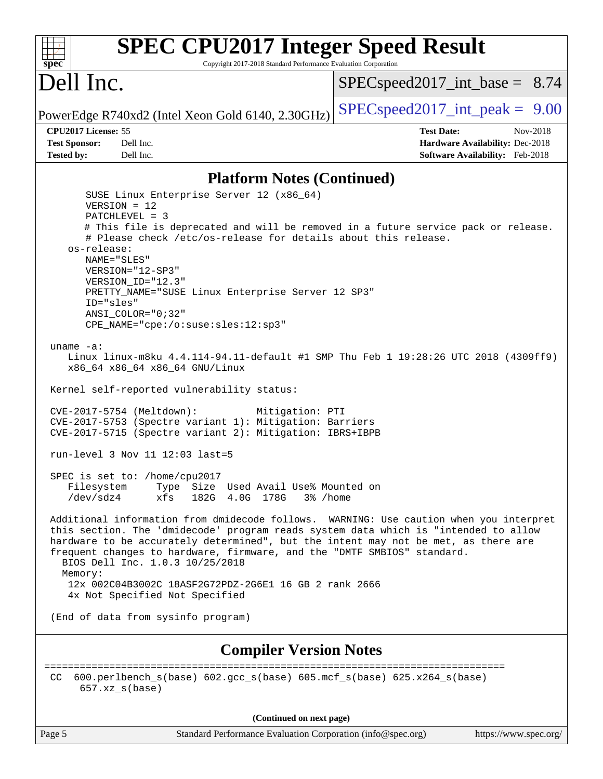### **[spec](http://www.spec.org/) [SPEC CPU2017 Integer Speed Result](http://www.spec.org/auto/cpu2017/Docs/result-fields.html#SPECCPU2017IntegerSpeedResult)** Copyright 2017-2018 Standard Performance Evaluation Corporation Dell Inc. PowerEdge R740xd2 (Intel Xeon Gold 6140, 2.30GHz)  $\left|$  [SPECspeed2017\\_int\\_peak =](http://www.spec.org/auto/cpu2017/Docs/result-fields.html#SPECspeed2017intpeak) 9.00  $SPECspeed2017\_int\_base = 8.74$ **[CPU2017 License:](http://www.spec.org/auto/cpu2017/Docs/result-fields.html#CPU2017License)** 55 **[Test Date:](http://www.spec.org/auto/cpu2017/Docs/result-fields.html#TestDate)** Nov-2018 **[Test Sponsor:](http://www.spec.org/auto/cpu2017/Docs/result-fields.html#TestSponsor)** Dell Inc. **[Hardware Availability:](http://www.spec.org/auto/cpu2017/Docs/result-fields.html#HardwareAvailability)** Dec-2018 **[Tested by:](http://www.spec.org/auto/cpu2017/Docs/result-fields.html#Testedby)** Dell Inc. **[Software Availability:](http://www.spec.org/auto/cpu2017/Docs/result-fields.html#SoftwareAvailability)** Feb-2018 **[Platform Notes \(Continued\)](http://www.spec.org/auto/cpu2017/Docs/result-fields.html#PlatformNotes)** SUSE Linux Enterprise Server 12 (x86\_64) VERSION = 12 PATCHLEVEL = 3 # This file is deprecated and will be removed in a future service pack or release. # Please check /etc/os-release for details about this release. os-release: NAME="SLES" VERSION="12-SP3" VERSION\_ID="12.3" PRETTY\_NAME="SUSE Linux Enterprise Server 12 SP3" ID="sles" ANSI\_COLOR="0;32" CPE\_NAME="cpe:/o:suse:sles:12:sp3" uname -a: Linux linux-m8ku 4.4.114-94.11-default #1 SMP Thu Feb 1 19:28:26 UTC 2018 (4309ff9) x86\_64 x86\_64 x86\_64 GNU/Linux Kernel self-reported vulnerability status: CVE-2017-5754 (Meltdown): Mitigation: PTI CVE-2017-5753 (Spectre variant 1): Mitigation: Barriers CVE-2017-5715 (Spectre variant 2): Mitigation: IBRS+IBPB run-level 3 Nov 11 12:03 last=5 SPEC is set to: /home/cpu2017 Filesystem Type Size Used Avail Use% Mounted on /dev/sdz4 xfs 182G 4.0G 178G 3% /home Additional information from dmidecode follows. WARNING: Use caution when you interpret this section. The 'dmidecode' program reads system data which is "intended to allow hardware to be accurately determined", but the intent may not be met, as there are frequent changes to hardware, firmware, and the "DMTF SMBIOS" standard. BIOS Dell Inc. 1.0.3 10/25/2018 Memory: 12x 002C04B3002C 18ASF2G72PDZ-2G6E1 16 GB 2 rank 2666 4x Not Specified Not Specified (End of data from sysinfo program) **[Compiler Version Notes](http://www.spec.org/auto/cpu2017/Docs/result-fields.html#CompilerVersionNotes)** ============================================================================== CC 600.perlbench\_s(base) 602.gcc\_s(base) 605.mcf\_s(base) 625.x264\_s(base) 657.xz\_s(base) **(Continued on next page)**

Page 5 Standard Performance Evaluation Corporation [\(info@spec.org\)](mailto:info@spec.org) <https://www.spec.org/>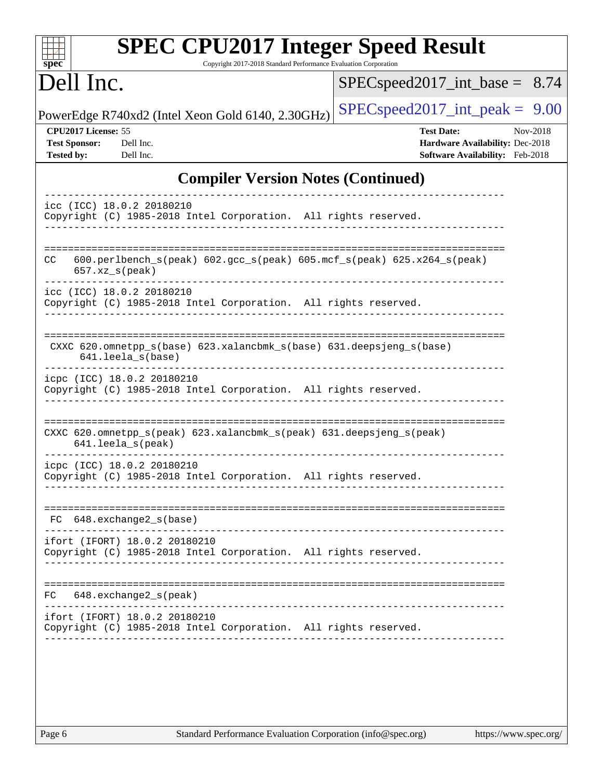| <b>SPEC CPU2017 Integer Speed Result</b><br>Copyright 2017-2018 Standard Performance Evaluation Corporation<br>$spec^*$ |                                                                                                     |
|-------------------------------------------------------------------------------------------------------------------------|-----------------------------------------------------------------------------------------------------|
| Dell Inc.                                                                                                               | $SPEC speed2017\_int\_base = 8.74$                                                                  |
| PowerEdge R740xd2 (Intel Xeon Gold 6140, 2.30GHz)                                                                       | $SPEC speed2017\_int\_peak = 9.00$                                                                  |
| CPU2017 License: 55<br><b>Test Sponsor:</b><br>Dell Inc.<br><b>Tested by:</b><br>Dell Inc.                              | <b>Test Date:</b><br>Nov-2018<br>Hardware Availability: Dec-2018<br>Software Availability: Feb-2018 |
| <b>Compiler Version Notes (Continued)</b>                                                                               |                                                                                                     |
| icc (ICC) 18.0.2 20180210<br>Copyright (C) 1985-2018 Intel Corporation. All rights reserved.                            |                                                                                                     |
| $600. perlbench_s (peak) 602. gcc_s (peak) 605. mcf_s (peak) 625. x264_s (peak)$<br>CC.<br>$657.xx$ s(peak)             |                                                                                                     |
| icc (ICC) 18.0.2 20180210<br>Copyright (C) 1985-2018 Intel Corporation. All rights reserved.                            |                                                                                                     |
| CXXC 620.omnetpp_s(base) 623.xalancbmk_s(base) 631.deepsjeng_s(base)<br>641.leela s(base)                               |                                                                                                     |
| icpc (ICC) 18.0.2 20180210<br>Copyright (C) 1985-2018 Intel Corporation. All rights reserved.                           |                                                                                                     |
| CXXC 620.omnetpp_s(peak) 623.xalancbmk_s(peak) 631.deepsjeng_s(peak)<br>641.leela_s(peak)                               |                                                                                                     |
| icpc (ICC) 18.0.2 20180210<br>Copyright (C) 1985-2018 Intel Corporation. All rights reserved.                           |                                                                                                     |
| 648.exchange2_s(base)<br>FC.                                                                                            |                                                                                                     |
| ifort (IFORT) 18.0.2 20180210<br>Copyright (C) 1985-2018 Intel Corporation. All rights reserved.                        |                                                                                                     |
| $648$ . exchange $2_s$ (peak)<br>FC.                                                                                    |                                                                                                     |
| ifort (IFORT) 18.0.2 20180210<br>Copyright (C) 1985-2018 Intel Corporation. All rights reserved.                        |                                                                                                     |
|                                                                                                                         |                                                                                                     |
|                                                                                                                         |                                                                                                     |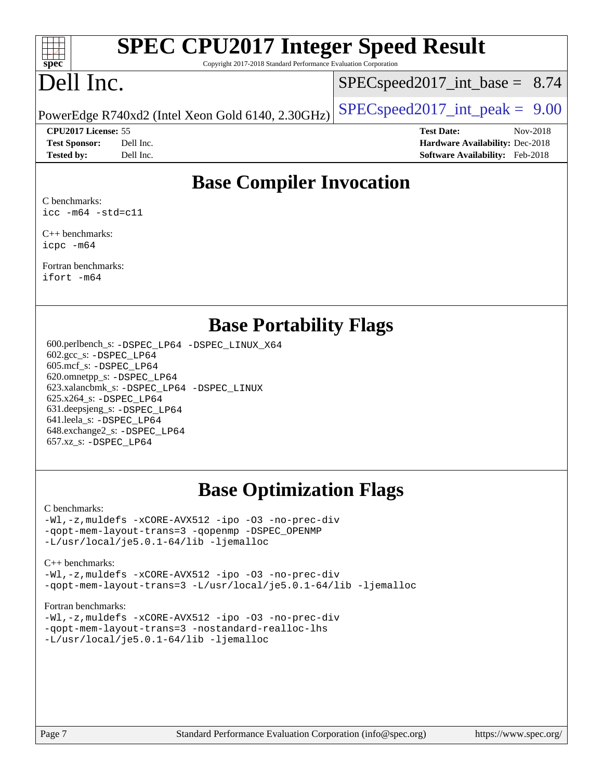

# **[SPEC CPU2017 Integer Speed Result](http://www.spec.org/auto/cpu2017/Docs/result-fields.html#SPECCPU2017IntegerSpeedResult)**

Copyright 2017-2018 Standard Performance Evaluation Corporation

# Dell Inc.

 $SPECspeed2017\_int\_base = 8.74$ 

**[CPU2017 License:](http://www.spec.org/auto/cpu2017/Docs/result-fields.html#CPU2017License)** 55 **[Test Date:](http://www.spec.org/auto/cpu2017/Docs/result-fields.html#TestDate)** Nov-2018

PowerEdge R740xd2 (Intel Xeon Gold 6140, 2.30GHz)  $\left|$  [SPECspeed2017\\_int\\_peak =](http://www.spec.org/auto/cpu2017/Docs/result-fields.html#SPECspeed2017intpeak) 9.00

**[Test Sponsor:](http://www.spec.org/auto/cpu2017/Docs/result-fields.html#TestSponsor)** Dell Inc. **[Hardware Availability:](http://www.spec.org/auto/cpu2017/Docs/result-fields.html#HardwareAvailability)** Dec-2018 **[Tested by:](http://www.spec.org/auto/cpu2017/Docs/result-fields.html#Testedby)** Dell Inc. **[Software Availability:](http://www.spec.org/auto/cpu2017/Docs/result-fields.html#SoftwareAvailability)** Feb-2018

### **[Base Compiler Invocation](http://www.spec.org/auto/cpu2017/Docs/result-fields.html#BaseCompilerInvocation)**

[C benchmarks:](http://www.spec.org/auto/cpu2017/Docs/result-fields.html#Cbenchmarks) [icc -m64 -std=c11](http://www.spec.org/cpu2017/results/res2018q4/cpu2017-20181210-10181.flags.html#user_CCbase_intel_icc_64bit_c11_33ee0cdaae7deeeab2a9725423ba97205ce30f63b9926c2519791662299b76a0318f32ddfffdc46587804de3178b4f9328c46fa7c2b0cd779d7a61945c91cd35)

[C++ benchmarks:](http://www.spec.org/auto/cpu2017/Docs/result-fields.html#CXXbenchmarks) [icpc -m64](http://www.spec.org/cpu2017/results/res2018q4/cpu2017-20181210-10181.flags.html#user_CXXbase_intel_icpc_64bit_4ecb2543ae3f1412ef961e0650ca070fec7b7afdcd6ed48761b84423119d1bf6bdf5cad15b44d48e7256388bc77273b966e5eb805aefd121eb22e9299b2ec9d9)

[Fortran benchmarks](http://www.spec.org/auto/cpu2017/Docs/result-fields.html#Fortranbenchmarks): [ifort -m64](http://www.spec.org/cpu2017/results/res2018q4/cpu2017-20181210-10181.flags.html#user_FCbase_intel_ifort_64bit_24f2bb282fbaeffd6157abe4f878425411749daecae9a33200eee2bee2fe76f3b89351d69a8130dd5949958ce389cf37ff59a95e7a40d588e8d3a57e0c3fd751)

### **[Base Portability Flags](http://www.spec.org/auto/cpu2017/Docs/result-fields.html#BasePortabilityFlags)**

 600.perlbench\_s: [-DSPEC\\_LP64](http://www.spec.org/cpu2017/results/res2018q4/cpu2017-20181210-10181.flags.html#b600.perlbench_s_basePORTABILITY_DSPEC_LP64) [-DSPEC\\_LINUX\\_X64](http://www.spec.org/cpu2017/results/res2018q4/cpu2017-20181210-10181.flags.html#b600.perlbench_s_baseCPORTABILITY_DSPEC_LINUX_X64) 602.gcc\_s: [-DSPEC\\_LP64](http://www.spec.org/cpu2017/results/res2018q4/cpu2017-20181210-10181.flags.html#suite_basePORTABILITY602_gcc_s_DSPEC_LP64) 605.mcf\_s: [-DSPEC\\_LP64](http://www.spec.org/cpu2017/results/res2018q4/cpu2017-20181210-10181.flags.html#suite_basePORTABILITY605_mcf_s_DSPEC_LP64) 620.omnetpp\_s: [-DSPEC\\_LP64](http://www.spec.org/cpu2017/results/res2018q4/cpu2017-20181210-10181.flags.html#suite_basePORTABILITY620_omnetpp_s_DSPEC_LP64) 623.xalancbmk\_s: [-DSPEC\\_LP64](http://www.spec.org/cpu2017/results/res2018q4/cpu2017-20181210-10181.flags.html#suite_basePORTABILITY623_xalancbmk_s_DSPEC_LP64) [-DSPEC\\_LINUX](http://www.spec.org/cpu2017/results/res2018q4/cpu2017-20181210-10181.flags.html#b623.xalancbmk_s_baseCXXPORTABILITY_DSPEC_LINUX) 625.x264\_s: [-DSPEC\\_LP64](http://www.spec.org/cpu2017/results/res2018q4/cpu2017-20181210-10181.flags.html#suite_basePORTABILITY625_x264_s_DSPEC_LP64) 631.deepsjeng\_s: [-DSPEC\\_LP64](http://www.spec.org/cpu2017/results/res2018q4/cpu2017-20181210-10181.flags.html#suite_basePORTABILITY631_deepsjeng_s_DSPEC_LP64) 641.leela\_s: [-DSPEC\\_LP64](http://www.spec.org/cpu2017/results/res2018q4/cpu2017-20181210-10181.flags.html#suite_basePORTABILITY641_leela_s_DSPEC_LP64) 648.exchange2\_s: [-DSPEC\\_LP64](http://www.spec.org/cpu2017/results/res2018q4/cpu2017-20181210-10181.flags.html#suite_basePORTABILITY648_exchange2_s_DSPEC_LP64) 657.xz\_s: [-DSPEC\\_LP64](http://www.spec.org/cpu2017/results/res2018q4/cpu2017-20181210-10181.flags.html#suite_basePORTABILITY657_xz_s_DSPEC_LP64)

# **[Base Optimization Flags](http://www.spec.org/auto/cpu2017/Docs/result-fields.html#BaseOptimizationFlags)**

#### [C benchmarks](http://www.spec.org/auto/cpu2017/Docs/result-fields.html#Cbenchmarks):

[-Wl,-z,muldefs](http://www.spec.org/cpu2017/results/res2018q4/cpu2017-20181210-10181.flags.html#user_CCbase_link_force_multiple1_b4cbdb97b34bdee9ceefcfe54f4c8ea74255f0b02a4b23e853cdb0e18eb4525ac79b5a88067c842dd0ee6996c24547a27a4b99331201badda8798ef8a743f577) [-xCORE-AVX512](http://www.spec.org/cpu2017/results/res2018q4/cpu2017-20181210-10181.flags.html#user_CCbase_f-xCORE-AVX512) [-ipo](http://www.spec.org/cpu2017/results/res2018q4/cpu2017-20181210-10181.flags.html#user_CCbase_f-ipo) [-O3](http://www.spec.org/cpu2017/results/res2018q4/cpu2017-20181210-10181.flags.html#user_CCbase_f-O3) [-no-prec-div](http://www.spec.org/cpu2017/results/res2018q4/cpu2017-20181210-10181.flags.html#user_CCbase_f-no-prec-div) [-qopt-mem-layout-trans=3](http://www.spec.org/cpu2017/results/res2018q4/cpu2017-20181210-10181.flags.html#user_CCbase_f-qopt-mem-layout-trans_de80db37974c74b1f0e20d883f0b675c88c3b01e9d123adea9b28688d64333345fb62bc4a798493513fdb68f60282f9a726aa07f478b2f7113531aecce732043) [-qopenmp](http://www.spec.org/cpu2017/results/res2018q4/cpu2017-20181210-10181.flags.html#user_CCbase_qopenmp_16be0c44f24f464004c6784a7acb94aca937f053568ce72f94b139a11c7c168634a55f6653758ddd83bcf7b8463e8028bb0b48b77bcddc6b78d5d95bb1df2967) [-DSPEC\\_OPENMP](http://www.spec.org/cpu2017/results/res2018q4/cpu2017-20181210-10181.flags.html#suite_CCbase_DSPEC_OPENMP) [-L/usr/local/je5.0.1-64/lib](http://www.spec.org/cpu2017/results/res2018q4/cpu2017-20181210-10181.flags.html#user_CCbase_jemalloc_link_path64_4b10a636b7bce113509b17f3bd0d6226c5fb2346b9178c2d0232c14f04ab830f976640479e5c33dc2bcbbdad86ecfb6634cbbd4418746f06f368b512fced5394) [-ljemalloc](http://www.spec.org/cpu2017/results/res2018q4/cpu2017-20181210-10181.flags.html#user_CCbase_jemalloc_link_lib_d1249b907c500fa1c0672f44f562e3d0f79738ae9e3c4a9c376d49f265a04b9c99b167ecedbf6711b3085be911c67ff61f150a17b3472be731631ba4d0471706)

#### [C++ benchmarks:](http://www.spec.org/auto/cpu2017/Docs/result-fields.html#CXXbenchmarks) [-Wl,-z,muldefs](http://www.spec.org/cpu2017/results/res2018q4/cpu2017-20181210-10181.flags.html#user_CXXbase_link_force_multiple1_b4cbdb97b34bdee9ceefcfe54f4c8ea74255f0b02a4b23e853cdb0e18eb4525ac79b5a88067c842dd0ee6996c24547a27a4b99331201badda8798ef8a743f577) [-xCORE-AVX512](http://www.spec.org/cpu2017/results/res2018q4/cpu2017-20181210-10181.flags.html#user_CXXbase_f-xCORE-AVX512) [-ipo](http://www.spec.org/cpu2017/results/res2018q4/cpu2017-20181210-10181.flags.html#user_CXXbase_f-ipo) [-O3](http://www.spec.org/cpu2017/results/res2018q4/cpu2017-20181210-10181.flags.html#user_CXXbase_f-O3) [-no-prec-div](http://www.spec.org/cpu2017/results/res2018q4/cpu2017-20181210-10181.flags.html#user_CXXbase_f-no-prec-div)

[-qopt-mem-layout-trans=3](http://www.spec.org/cpu2017/results/res2018q4/cpu2017-20181210-10181.flags.html#user_CXXbase_f-qopt-mem-layout-trans_de80db37974c74b1f0e20d883f0b675c88c3b01e9d123adea9b28688d64333345fb62bc4a798493513fdb68f60282f9a726aa07f478b2f7113531aecce732043) [-L/usr/local/je5.0.1-64/lib](http://www.spec.org/cpu2017/results/res2018q4/cpu2017-20181210-10181.flags.html#user_CXXbase_jemalloc_link_path64_4b10a636b7bce113509b17f3bd0d6226c5fb2346b9178c2d0232c14f04ab830f976640479e5c33dc2bcbbdad86ecfb6634cbbd4418746f06f368b512fced5394) [-ljemalloc](http://www.spec.org/cpu2017/results/res2018q4/cpu2017-20181210-10181.flags.html#user_CXXbase_jemalloc_link_lib_d1249b907c500fa1c0672f44f562e3d0f79738ae9e3c4a9c376d49f265a04b9c99b167ecedbf6711b3085be911c67ff61f150a17b3472be731631ba4d0471706)

#### [Fortran benchmarks](http://www.spec.org/auto/cpu2017/Docs/result-fields.html#Fortranbenchmarks):

[-Wl,-z,muldefs](http://www.spec.org/cpu2017/results/res2018q4/cpu2017-20181210-10181.flags.html#user_FCbase_link_force_multiple1_b4cbdb97b34bdee9ceefcfe54f4c8ea74255f0b02a4b23e853cdb0e18eb4525ac79b5a88067c842dd0ee6996c24547a27a4b99331201badda8798ef8a743f577) [-xCORE-AVX512](http://www.spec.org/cpu2017/results/res2018q4/cpu2017-20181210-10181.flags.html#user_FCbase_f-xCORE-AVX512) [-ipo](http://www.spec.org/cpu2017/results/res2018q4/cpu2017-20181210-10181.flags.html#user_FCbase_f-ipo) [-O3](http://www.spec.org/cpu2017/results/res2018q4/cpu2017-20181210-10181.flags.html#user_FCbase_f-O3) [-no-prec-div](http://www.spec.org/cpu2017/results/res2018q4/cpu2017-20181210-10181.flags.html#user_FCbase_f-no-prec-div) [-qopt-mem-layout-trans=3](http://www.spec.org/cpu2017/results/res2018q4/cpu2017-20181210-10181.flags.html#user_FCbase_f-qopt-mem-layout-trans_de80db37974c74b1f0e20d883f0b675c88c3b01e9d123adea9b28688d64333345fb62bc4a798493513fdb68f60282f9a726aa07f478b2f7113531aecce732043) [-nostandard-realloc-lhs](http://www.spec.org/cpu2017/results/res2018q4/cpu2017-20181210-10181.flags.html#user_FCbase_f_2003_std_realloc_82b4557e90729c0f113870c07e44d33d6f5a304b4f63d4c15d2d0f1fab99f5daaed73bdb9275d9ae411527f28b936061aa8b9c8f2d63842963b95c9dd6426b8a) [-L/usr/local/je5.0.1-64/lib](http://www.spec.org/cpu2017/results/res2018q4/cpu2017-20181210-10181.flags.html#user_FCbase_jemalloc_link_path64_4b10a636b7bce113509b17f3bd0d6226c5fb2346b9178c2d0232c14f04ab830f976640479e5c33dc2bcbbdad86ecfb6634cbbd4418746f06f368b512fced5394) [-ljemalloc](http://www.spec.org/cpu2017/results/res2018q4/cpu2017-20181210-10181.flags.html#user_FCbase_jemalloc_link_lib_d1249b907c500fa1c0672f44f562e3d0f79738ae9e3c4a9c376d49f265a04b9c99b167ecedbf6711b3085be911c67ff61f150a17b3472be731631ba4d0471706)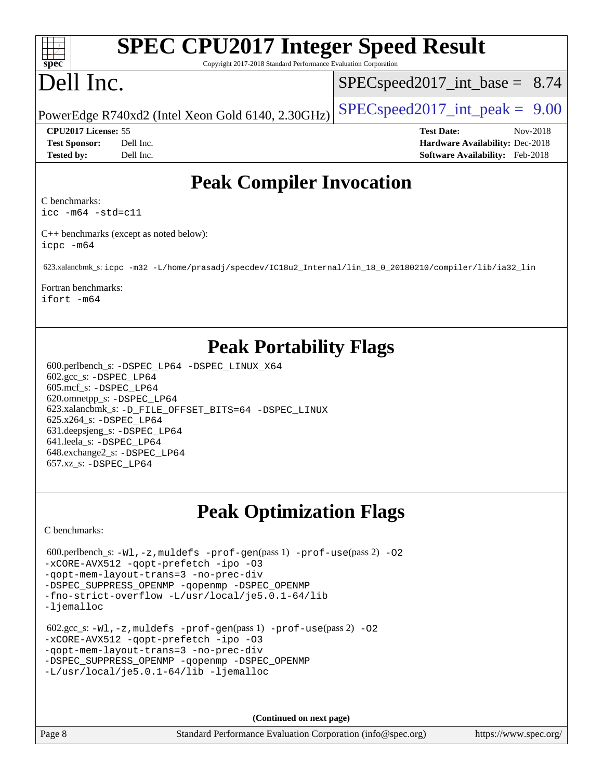### $+\ +$ **[spec](http://www.spec.org/)**

# **[SPEC CPU2017 Integer Speed Result](http://www.spec.org/auto/cpu2017/Docs/result-fields.html#SPECCPU2017IntegerSpeedResult)**

Copyright 2017-2018 Standard Performance Evaluation Corporation

# Dell Inc.

 $SPECspeed2017\_int\_base = 8.74$ 

PowerEdge R740xd2 (Intel Xeon Gold 6140, 2.30GHz)  $\left|$  [SPECspeed2017\\_int\\_peak =](http://www.spec.org/auto/cpu2017/Docs/result-fields.html#SPECspeed2017intpeak) 9.00

**[CPU2017 License:](http://www.spec.org/auto/cpu2017/Docs/result-fields.html#CPU2017License)** 55 **[Test Date:](http://www.spec.org/auto/cpu2017/Docs/result-fields.html#TestDate)** Nov-2018 **[Test Sponsor:](http://www.spec.org/auto/cpu2017/Docs/result-fields.html#TestSponsor)** Dell Inc. **[Hardware Availability:](http://www.spec.org/auto/cpu2017/Docs/result-fields.html#HardwareAvailability)** Dec-2018 **[Tested by:](http://www.spec.org/auto/cpu2017/Docs/result-fields.html#Testedby)** Dell Inc. **[Software Availability:](http://www.spec.org/auto/cpu2017/Docs/result-fields.html#SoftwareAvailability)** Feb-2018

# **[Peak Compiler Invocation](http://www.spec.org/auto/cpu2017/Docs/result-fields.html#PeakCompilerInvocation)**

[C benchmarks](http://www.spec.org/auto/cpu2017/Docs/result-fields.html#Cbenchmarks):

[icc -m64 -std=c11](http://www.spec.org/cpu2017/results/res2018q4/cpu2017-20181210-10181.flags.html#user_CCpeak_intel_icc_64bit_c11_33ee0cdaae7deeeab2a9725423ba97205ce30f63b9926c2519791662299b76a0318f32ddfffdc46587804de3178b4f9328c46fa7c2b0cd779d7a61945c91cd35)

[C++ benchmarks \(except as noted below\)](http://www.spec.org/auto/cpu2017/Docs/result-fields.html#CXXbenchmarksexceptasnotedbelow): [icpc -m64](http://www.spec.org/cpu2017/results/res2018q4/cpu2017-20181210-10181.flags.html#user_CXXpeak_intel_icpc_64bit_4ecb2543ae3f1412ef961e0650ca070fec7b7afdcd6ed48761b84423119d1bf6bdf5cad15b44d48e7256388bc77273b966e5eb805aefd121eb22e9299b2ec9d9)

623.xalancbmk\_s: [icpc -m32 -L/home/prasadj/specdev/IC18u2\\_Internal/lin\\_18\\_0\\_20180210/compiler/lib/ia32\\_lin](http://www.spec.org/cpu2017/results/res2018q4/cpu2017-20181210-10181.flags.html#user_peakCXXLD623_xalancbmk_s_intel_icpc_c6d030cd79af6ea7d6fb64c57e8fe7ae8fe0b96fc5a3b3f4a10e3273b3d7fa9decd8263f6330cef23f751cb093a69fae84a2bf4c243500a8eed069248128076f)

[Fortran benchmarks](http://www.spec.org/auto/cpu2017/Docs/result-fields.html#Fortranbenchmarks): [ifort -m64](http://www.spec.org/cpu2017/results/res2018q4/cpu2017-20181210-10181.flags.html#user_FCpeak_intel_ifort_64bit_24f2bb282fbaeffd6157abe4f878425411749daecae9a33200eee2bee2fe76f3b89351d69a8130dd5949958ce389cf37ff59a95e7a40d588e8d3a57e0c3fd751)

# **[Peak Portability Flags](http://www.spec.org/auto/cpu2017/Docs/result-fields.html#PeakPortabilityFlags)**

 600.perlbench\_s: [-DSPEC\\_LP64](http://www.spec.org/cpu2017/results/res2018q4/cpu2017-20181210-10181.flags.html#b600.perlbench_s_peakPORTABILITY_DSPEC_LP64) [-DSPEC\\_LINUX\\_X64](http://www.spec.org/cpu2017/results/res2018q4/cpu2017-20181210-10181.flags.html#b600.perlbench_s_peakCPORTABILITY_DSPEC_LINUX_X64) 602.gcc\_s: [-DSPEC\\_LP64](http://www.spec.org/cpu2017/results/res2018q4/cpu2017-20181210-10181.flags.html#suite_peakPORTABILITY602_gcc_s_DSPEC_LP64) 605.mcf\_s: [-DSPEC\\_LP64](http://www.spec.org/cpu2017/results/res2018q4/cpu2017-20181210-10181.flags.html#suite_peakPORTABILITY605_mcf_s_DSPEC_LP64) 620.omnetpp\_s: [-DSPEC\\_LP64](http://www.spec.org/cpu2017/results/res2018q4/cpu2017-20181210-10181.flags.html#suite_peakPORTABILITY620_omnetpp_s_DSPEC_LP64) 623.xalancbmk\_s: [-D\\_FILE\\_OFFSET\\_BITS=64](http://www.spec.org/cpu2017/results/res2018q4/cpu2017-20181210-10181.flags.html#user_peakPORTABILITY623_xalancbmk_s_file_offset_bits_64_5ae949a99b284ddf4e95728d47cb0843d81b2eb0e18bdfe74bbf0f61d0b064f4bda2f10ea5eb90e1dcab0e84dbc592acfc5018bc955c18609f94ddb8d550002c) [-DSPEC\\_LINUX](http://www.spec.org/cpu2017/results/res2018q4/cpu2017-20181210-10181.flags.html#b623.xalancbmk_s_peakCXXPORTABILITY_DSPEC_LINUX) 625.x264\_s: [-DSPEC\\_LP64](http://www.spec.org/cpu2017/results/res2018q4/cpu2017-20181210-10181.flags.html#suite_peakPORTABILITY625_x264_s_DSPEC_LP64) 631.deepsjeng\_s: [-DSPEC\\_LP64](http://www.spec.org/cpu2017/results/res2018q4/cpu2017-20181210-10181.flags.html#suite_peakPORTABILITY631_deepsjeng_s_DSPEC_LP64) 641.leela\_s: [-DSPEC\\_LP64](http://www.spec.org/cpu2017/results/res2018q4/cpu2017-20181210-10181.flags.html#suite_peakPORTABILITY641_leela_s_DSPEC_LP64) 648.exchange2\_s: [-DSPEC\\_LP64](http://www.spec.org/cpu2017/results/res2018q4/cpu2017-20181210-10181.flags.html#suite_peakPORTABILITY648_exchange2_s_DSPEC_LP64) 657.xz\_s: [-DSPEC\\_LP64](http://www.spec.org/cpu2017/results/res2018q4/cpu2017-20181210-10181.flags.html#suite_peakPORTABILITY657_xz_s_DSPEC_LP64)

# **[Peak Optimization Flags](http://www.spec.org/auto/cpu2017/Docs/result-fields.html#PeakOptimizationFlags)**

[C benchmarks](http://www.spec.org/auto/cpu2017/Docs/result-fields.html#Cbenchmarks):

```
600.perlbench_s: -W1, -z, muldefs -prof-gen(pass 1) -prof-use(pass 2)-O2
-xCORE-AVX512 -qopt-prefetch -ipo -O3
-qopt-mem-layout-trans=3 -no-prec-div
-DSPEC_SUPPRESS_OPENMP -qopenmp -DSPEC_OPENMP
-fno-strict-overflow -L/usr/local/je5.0.1-64/lib
-ljemalloc
 602.gcc_s: -Wl,-z,muldefs -prof-gen(pass 1) -prof-use(pass 2) -O2
-xCORE-AVX512 -qopt-prefetch -ipo -O3
-qopt-mem-layout-trans=3 -no-prec-div
-DSPEC_SUPPRESS_OPENMP -qopenmp -DSPEC_OPENMP
-L/usr/local/je5.0.1-64/lib -ljemalloc
```
**(Continued on next page)**